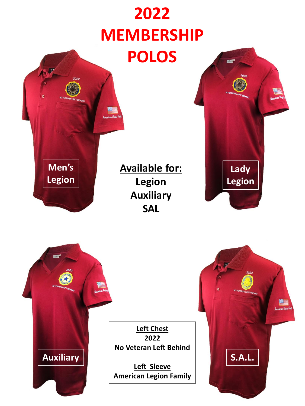

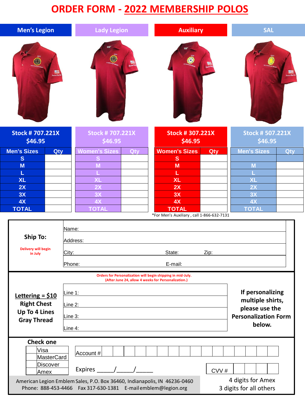## **ORDER FORM - 2022 MEMBERSHIP POLOS**

| <b>Men's Legion</b>                                                                     | <b>Lady Legion</b>                                                                                                                                                               | <b>Auxiliary</b>                                                                          | <b>SAL</b>                                                                                      |  |
|-----------------------------------------------------------------------------------------|----------------------------------------------------------------------------------------------------------------------------------------------------------------------------------|-------------------------------------------------------------------------------------------|-------------------------------------------------------------------------------------------------|--|
|                                                                                         |                                                                                                                                                                                  |                                                                                           |                                                                                                 |  |
| <b>Stock # 707.221X</b><br>\$46.95                                                      | <b>Stock #707.221X</b><br>\$46.95                                                                                                                                                | <b>Stock #307.221X</b><br>\$46.95                                                         | <b>Stock # 507.221X</b><br>\$46.95                                                              |  |
| <b>Men's Sizes</b><br>Qty<br>S<br>M<br>L<br><b>XL</b><br>2X<br>3X<br>4X<br><b>TOTAL</b> | <b>Women's Sizes</b><br>Qty<br>M<br>XL<br>3X<br>4 <sub>X</sub><br><b>TOTAL</b>                                                                                                   | <b>Women's Sizes</b><br>Qty<br>S<br>M<br>L<br><b>XL</b><br>2X<br>3X<br>4X<br><b>TOTAL</b> | <b>Men's Sizes</b><br>Qty<br>M<br><b>XL</b><br>2X<br>3X<br>4X<br><b>TOTAL</b>                   |  |
| <b>Ship To:</b><br><b>Delivery will begin</b><br>in July                                | Name:<br>Address:<br>City:                                                                                                                                                       | *For Men's Auxiliary, call 1-866-632-7131<br>State:<br>Zip:                               |                                                                                                 |  |
|                                                                                         | Phone:                                                                                                                                                                           | E-mail:                                                                                   |                                                                                                 |  |
| Lettering = $$10$<br><b>Right Chest</b><br>Up To 4 Lines<br><b>Gray Thread</b>          | Orders for Personalization will begin shipping in mid-July.<br>(After June 24, allow 4 weeks for Personalization.)<br>Line $1$ :<br>Line $2$ :<br>Line $3:$<br>$\lfloor$ Line 4: |                                                                                           | If personalizing<br>multiple shirts,<br>please use the<br><b>Personalization Form</b><br>below. |  |
| <b>Check one</b><br>Visa<br>MasterCard<br>Discover<br>Amex                              | Account #<br>Expires / /<br>American Legion Emblem Sales, P.O. Box 36460, Indianapolis, IN 46236-0460<br>Phone: 888-453-4466    Fax 317-630-1381    E-mail emblem@legion.org     | CVV#                                                                                      | 4 digits for Amex<br>3 digits for all others                                                    |  |